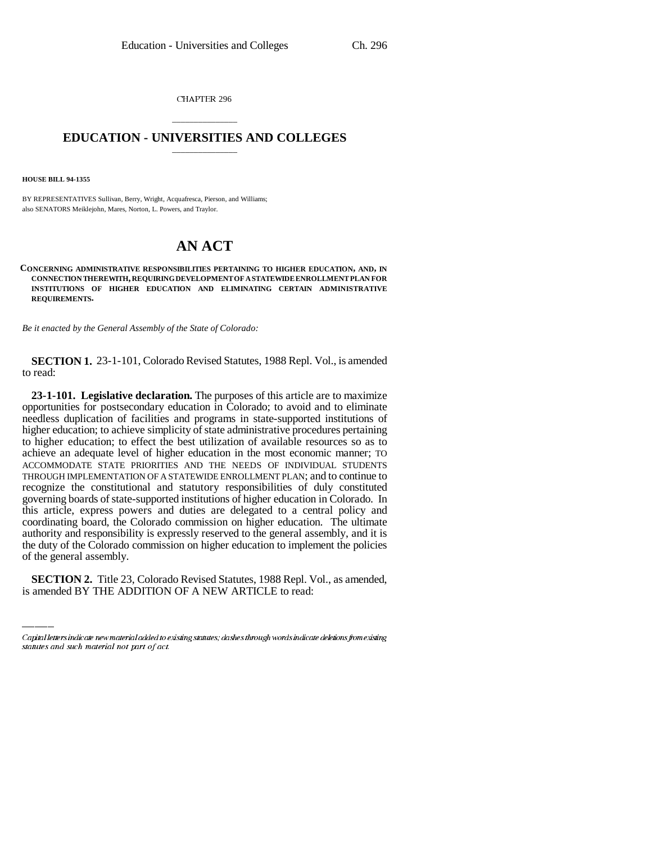CHAPTER 296

## \_\_\_\_\_\_\_\_\_\_\_\_\_\_\_ **EDUCATION - UNIVERSITIES AND COLLEGES** \_\_\_\_\_\_\_\_\_\_\_\_\_\_\_

**HOUSE BILL 94-1355**

BY REPRESENTATIVES Sullivan, Berry, Wright, Acquafresca, Pierson, and Williams; also SENATORS Meiklejohn, Mares, Norton, L. Powers, and Traylor.

## **AN ACT**

**CONCERNING ADMINISTRATIVE RESPONSIBILITIES PERTAINING TO HIGHER EDUCATION, AND, IN CONNECTION THEREWITH, REQUIRING DEVELOPMENT OF A STATEWIDE ENROLLMENT PLAN FOR INSTITUTIONS OF HIGHER EDUCATION AND ELIMINATING CERTAIN ADMINISTRATIVE REQUIREMENTS.**

*Be it enacted by the General Assembly of the State of Colorado:*

**SECTION 1.** 23-1-101, Colorado Revised Statutes, 1988 Repl. Vol., is amended to read:

the duty of the Colorado commission on higher education to implement the policies **23-1-101. Legislative declaration.** The purposes of this article are to maximize opportunities for postsecondary education in Colorado; to avoid and to eliminate needless duplication of facilities and programs in state-supported institutions of higher education; to achieve simplicity of state administrative procedures pertaining to higher education; to effect the best utilization of available resources so as to achieve an adequate level of higher education in the most economic manner; TO ACCOMMODATE STATE PRIORITIES AND THE NEEDS OF INDIVIDUAL STUDENTS THROUGH IMPLEMENTATION OF A STATEWIDE ENROLLMENT PLAN; and to continue to recognize the constitutional and statutory responsibilities of duly constituted governing boards of state-supported institutions of higher education in Colorado. In this article, express powers and duties are delegated to a central policy and coordinating board, the Colorado commission on higher education. The ultimate authority and responsibility is expressly reserved to the general assembly, and it is of the general assembly.

**SECTION 2.** Title 23, Colorado Revised Statutes, 1988 Repl. Vol., as amended, is amended BY THE ADDITION OF A NEW ARTICLE to read:

Capital letters indicate new material added to existing statutes; dashes through words indicate deletions from existing statutes and such material not part of act.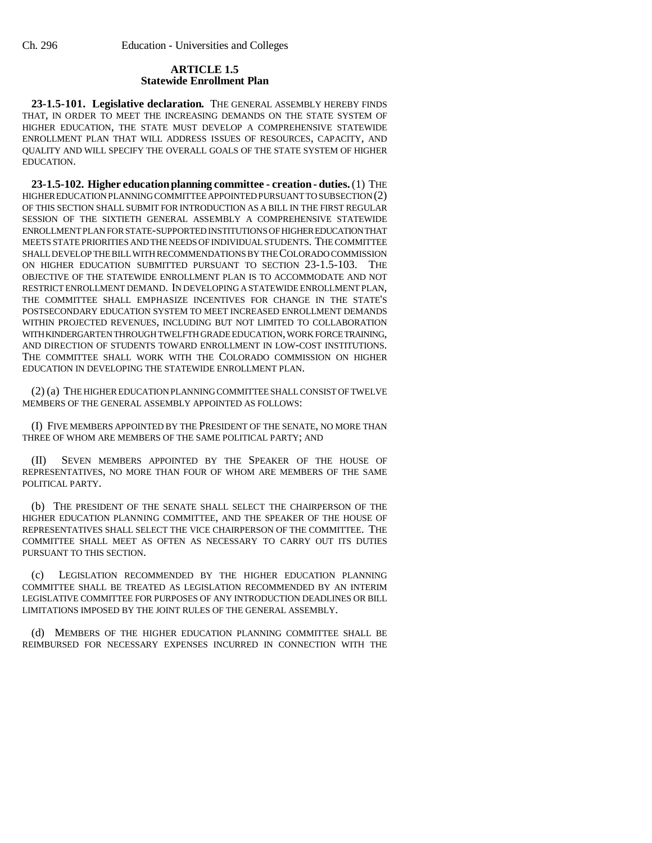## **ARTICLE 1.5 Statewide Enrollment Plan**

**23-1.5-101. Legislative declaration.** THE GENERAL ASSEMBLY HEREBY FINDS THAT, IN ORDER TO MEET THE INCREASING DEMANDS ON THE STATE SYSTEM OF HIGHER EDUCATION, THE STATE MUST DEVELOP A COMPREHENSIVE STATEWIDE ENROLLMENT PLAN THAT WILL ADDRESS ISSUES OF RESOURCES, CAPACITY, AND QUALITY AND WILL SPECIFY THE OVERALL GOALS OF THE STATE SYSTEM OF HIGHER EDUCATION.

**23-1.5-102. Higher education planning committee - creation - duties.** (1) THE HIGHER EDUCATION PLANNING COMMITTEE APPOINTED PURSUANT TO SUBSECTION (2) OF THIS SECTION SHALL SUBMIT FOR INTRODUCTION AS A BILL IN THE FIRST REGULAR SESSION OF THE SIXTIETH GENERAL ASSEMBLY A COMPREHENSIVE STATEWIDE ENROLLMENT PLAN FOR STATE-SUPPORTED INSTITUTIONS OF HIGHER EDUCATION THAT MEETS STATE PRIORITIES AND THE NEEDS OF INDIVIDUAL STUDENTS. THE COMMITTEE SHALL DEVELOP THE BILL WITH RECOMMENDATIONS BY THE COLORADO COMMISSION ON HIGHER EDUCATION SUBMITTED PURSUANT TO SECTION 23-1.5-103. THE OBJECTIVE OF THE STATEWIDE ENROLLMENT PLAN IS TO ACCOMMODATE AND NOT RESTRICT ENROLLMENT DEMAND. IN DEVELOPING A STATEWIDE ENROLLMENT PLAN, THE COMMITTEE SHALL EMPHASIZE INCENTIVES FOR CHANGE IN THE STATE'S POSTSECONDARY EDUCATION SYSTEM TO MEET INCREASED ENROLLMENT DEMANDS WITHIN PROJECTED REVENUES, INCLUDING BUT NOT LIMITED TO COLLABORATION WITH KINDERGARTEN THROUGH TWELFTH GRADE EDUCATION, WORK FORCE TRAINING, AND DIRECTION OF STUDENTS TOWARD ENROLLMENT IN LOW-COST INSTITUTIONS. THE COMMITTEE SHALL WORK WITH THE COLORADO COMMISSION ON HIGHER EDUCATION IN DEVELOPING THE STATEWIDE ENROLLMENT PLAN.

(2) (a) THE HIGHER EDUCATION PLANNING COMMITTEE SHALL CONSIST OF TWELVE MEMBERS OF THE GENERAL ASSEMBLY APPOINTED AS FOLLOWS:

(I) FIVE MEMBERS APPOINTED BY THE PRESIDENT OF THE SENATE, NO MORE THAN THREE OF WHOM ARE MEMBERS OF THE SAME POLITICAL PARTY; AND

(II) SEVEN MEMBERS APPOINTED BY THE SPEAKER OF THE HOUSE OF REPRESENTATIVES, NO MORE THAN FOUR OF WHOM ARE MEMBERS OF THE SAME POLITICAL PARTY.

(b) THE PRESIDENT OF THE SENATE SHALL SELECT THE CHAIRPERSON OF THE HIGHER EDUCATION PLANNING COMMITTEE, AND THE SPEAKER OF THE HOUSE OF REPRESENTATIVES SHALL SELECT THE VICE CHAIRPERSON OF THE COMMITTEE. THE COMMITTEE SHALL MEET AS OFTEN AS NECESSARY TO CARRY OUT ITS DUTIES PURSUANT TO THIS SECTION.

(c) LEGISLATION RECOMMENDED BY THE HIGHER EDUCATION PLANNING COMMITTEE SHALL BE TREATED AS LEGISLATION RECOMMENDED BY AN INTERIM LEGISLATIVE COMMITTEE FOR PURPOSES OF ANY INTRODUCTION DEADLINES OR BILL LIMITATIONS IMPOSED BY THE JOINT RULES OF THE GENERAL ASSEMBLY.

(d) MEMBERS OF THE HIGHER EDUCATION PLANNING COMMITTEE SHALL BE REIMBURSED FOR NECESSARY EXPENSES INCURRED IN CONNECTION WITH THE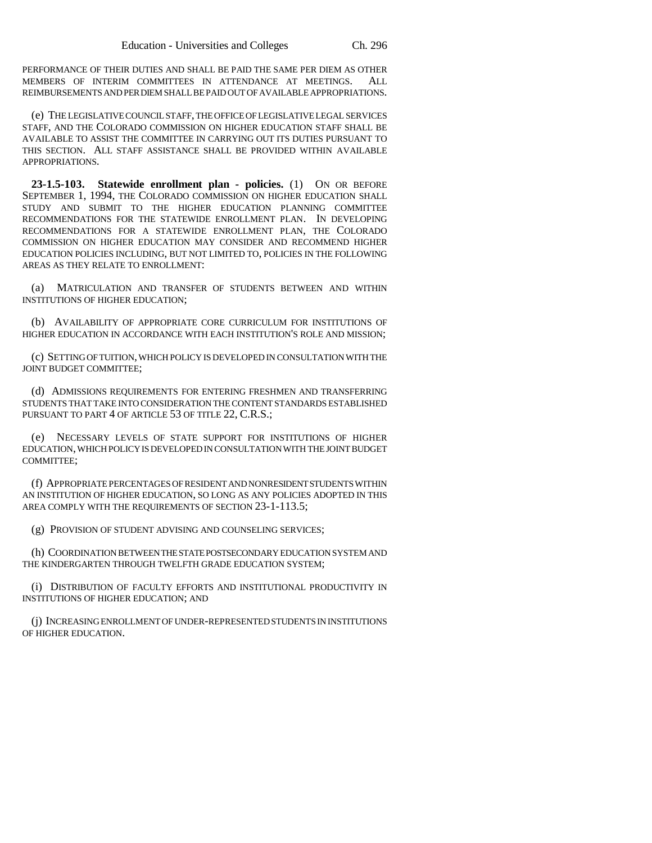PERFORMANCE OF THEIR DUTIES AND SHALL BE PAID THE SAME PER DIEM AS OTHER MEMBERS OF INTERIM COMMITTEES IN ATTENDANCE AT MEETINGS. ALL REIMBURSEMENTS AND PER DIEM SHALL BE PAID OUT OF AVAILABLE APPROPRIATIONS.

(e) THE LEGISLATIVE COUNCIL STAFF, THE OFFICE OF LEGISLATIVE LEGAL SERVICES STAFF, AND THE COLORADO COMMISSION ON HIGHER EDUCATION STAFF SHALL BE AVAILABLE TO ASSIST THE COMMITTEE IN CARRYING OUT ITS DUTIES PURSUANT TO THIS SECTION. ALL STAFF ASSISTANCE SHALL BE PROVIDED WITHIN AVAILABLE APPROPRIATIONS.

**23-1.5-103. Statewide enrollment plan - policies.** (1) ON OR BEFORE SEPTEMBER 1, 1994, THE COLORADO COMMISSION ON HIGHER EDUCATION SHALL STUDY AND SUBMIT TO THE HIGHER EDUCATION PLANNING COMMITTEE RECOMMENDATIONS FOR THE STATEWIDE ENROLLMENT PLAN. IN DEVELOPING RECOMMENDATIONS FOR A STATEWIDE ENROLLMENT PLAN, THE COLORADO COMMISSION ON HIGHER EDUCATION MAY CONSIDER AND RECOMMEND HIGHER EDUCATION POLICIES INCLUDING, BUT NOT LIMITED TO, POLICIES IN THE FOLLOWING AREAS AS THEY RELATE TO ENROLLMENT:

(a) MATRICULATION AND TRANSFER OF STUDENTS BETWEEN AND WITHIN INSTITUTIONS OF HIGHER EDUCATION;

(b) AVAILABILITY OF APPROPRIATE CORE CURRICULUM FOR INSTITUTIONS OF HIGHER EDUCATION IN ACCORDANCE WITH EACH INSTITUTION'S ROLE AND MISSION;

(c) SETTING OF TUITION, WHICH POLICY IS DEVELOPED IN CONSULTATION WITH THE JOINT BUDGET COMMITTEE;

(d) ADMISSIONS REQUIREMENTS FOR ENTERING FRESHMEN AND TRANSFERRING STUDENTS THAT TAKE INTO CONSIDERATION THE CONTENT STANDARDS ESTABLISHED PURSUANT TO PART 4 OF ARTICLE 53 OF TITLE 22, C.R.S.;

(e) NECESSARY LEVELS OF STATE SUPPORT FOR INSTITUTIONS OF HIGHER EDUCATION, WHICH POLICY IS DEVELOPED IN CONSULTATION WITH THE JOINT BUDGET COMMITTEE;

(f) APPROPRIATE PERCENTAGES OF RESIDENT AND NONRESIDENT STUDENTS WITHIN AN INSTITUTION OF HIGHER EDUCATION, SO LONG AS ANY POLICIES ADOPTED IN THIS AREA COMPLY WITH THE REQUIREMENTS OF SECTION 23-1-113.5;

(g) PROVISION OF STUDENT ADVISING AND COUNSELING SERVICES;

(h) COORDINATION BETWEEN THE STATE POSTSECONDARY EDUCATION SYSTEM AND THE KINDERGARTEN THROUGH TWELFTH GRADE EDUCATION SYSTEM;

(i) DISTRIBUTION OF FACULTY EFFORTS AND INSTITUTIONAL PRODUCTIVITY IN INSTITUTIONS OF HIGHER EDUCATION; AND

(j) INCREASING ENROLLMENT OF UNDER-REPRESENTED STUDENTS IN INSTITUTIONS OF HIGHER EDUCATION.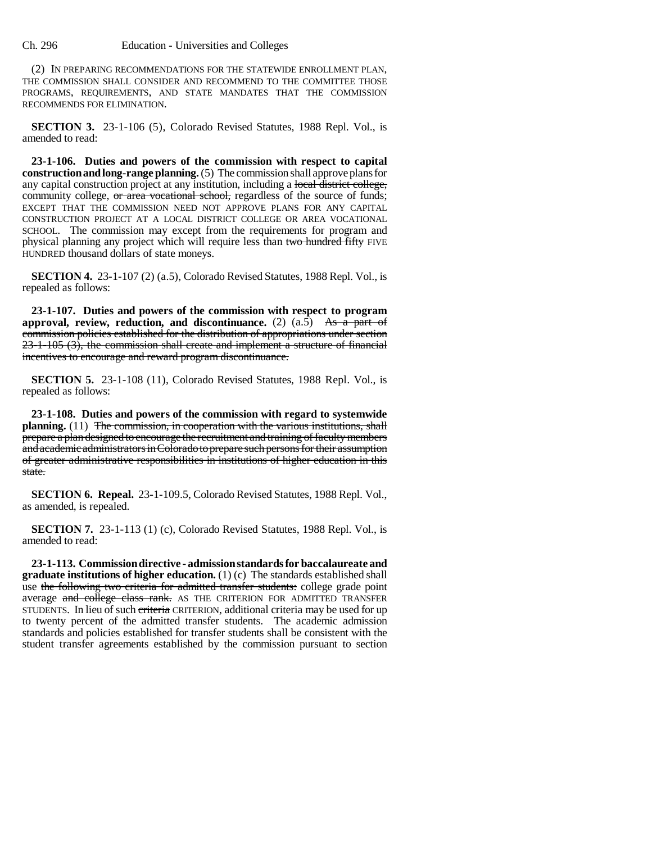(2) IN PREPARING RECOMMENDATIONS FOR THE STATEWIDE ENROLLMENT PLAN, THE COMMISSION SHALL CONSIDER AND RECOMMEND TO THE COMMITTEE THOSE PROGRAMS, REQUIREMENTS, AND STATE MANDATES THAT THE COMMISSION RECOMMENDS FOR ELIMINATION.

**SECTION 3.** 23-1-106 (5), Colorado Revised Statutes, 1988 Repl. Vol., is amended to read:

**23-1-106. Duties and powers of the commission with respect to capital construction and long-range planning.** (5) The commission shall approve plans for any capital construction project at any institution, including a local district college, community college, or area vocational school, regardless of the source of funds; EXCEPT THAT THE COMMISSION NEED NOT APPROVE PLANS FOR ANY CAPITAL CONSTRUCTION PROJECT AT A LOCAL DISTRICT COLLEGE OR AREA VOCATIONAL SCHOOL. The commission may except from the requirements for program and physical planning any project which will require less than two hundred fifty FIVE HUNDRED thousand dollars of state moneys.

**SECTION 4.** 23-1-107 (2) (a.5), Colorado Revised Statutes, 1988 Repl. Vol., is repealed as follows:

**23-1-107. Duties and powers of the commission with respect to program** approval, review, reduction, and discontinuance.  $(2)$   $(a.5)$  As a part of commission policies established for the distribution of appropriations under section  $23-1-105$  (3), the commission shall create and implement a structure of financial incentives to encourage and reward program discontinuance.

**SECTION 5.** 23-1-108 (11), Colorado Revised Statutes, 1988 Repl. Vol., is repealed as follows:

**23-1-108. Duties and powers of the commission with regard to systemwide** planning. (11) The commission, in cooperation with the various institutions, shall prepare a plan designed to encourage the recruitment and training of faculty members and academic administrators in Colorado to prepare such persons for their assumption of greater administrative responsibilities in institutions of higher education in this state.

**SECTION 6. Repeal.** 23-1-109.5, Colorado Revised Statutes, 1988 Repl. Vol., as amended, is repealed.

**SECTION 7.** 23-1-113 (1) (c), Colorado Revised Statutes, 1988 Repl. Vol., is amended to read:

**23-1-113. Commission directive - admission standards for baccalaureate and graduate institutions of higher education.** (1) (c) The standards established shall use the following two criteria for admitted transfer students: college grade point average and college class rank. AS THE CRITERION FOR ADMITTED TRANSFER STUDENTS. In lieu of such criteria CRITERION, additional criteria may be used for up to twenty percent of the admitted transfer students. The academic admission standards and policies established for transfer students shall be consistent with the student transfer agreements established by the commission pursuant to section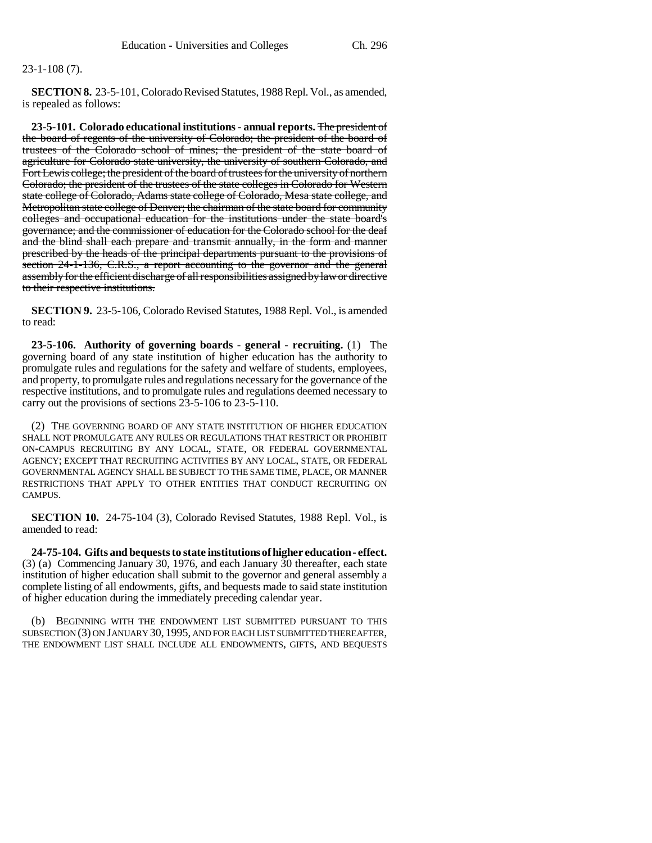## 23-1-108 (7).

**SECTION 8.** 23-5-101, Colorado Revised Statutes, 1988 Repl. Vol., as amended, is repealed as follows:

**23-5-101. Colorado educational institutions - annual reports.** The president of the board of regents of the university of Colorado; the president of the board of trustees of the Colorado school of mines; the president of the state board of agriculture for Colorado state university, the university of southern Colorado, and Fort Lewis college; the president of the board of trustees for the university of northern Colorado; the president of the trustees of the state colleges in Colorado for Western state college of Colorado, Adams state college of Colorado, Mesa state college, and Metropolitan state college of Denver; the chairman of the state board for community colleges and occupational education for the institutions under the state board's governance; and the commissioner of education for the Colorado school for the deaf and the blind shall each prepare and transmit annually, in the form and manner prescribed by the heads of the principal departments pursuant to the provisions of section 24-1-136, C.R.S., a report accounting to the governor and the general assembly for the efficient discharge of all responsibilities assigned by law or directive to their respective institutions.

**SECTION 9.** 23-5-106, Colorado Revised Statutes, 1988 Repl. Vol., is amended to read:

**23-5-106. Authority of governing boards - general - recruiting.** (1) The governing board of any state institution of higher education has the authority to promulgate rules and regulations for the safety and welfare of students, employees, and property, to promulgate rules and regulations necessary for the governance of the respective institutions, and to promulgate rules and regulations deemed necessary to carry out the provisions of sections 23-5-106 to 23-5-110.

(2) THE GOVERNING BOARD OF ANY STATE INSTITUTION OF HIGHER EDUCATION SHALL NOT PROMULGATE ANY RULES OR REGULATIONS THAT RESTRICT OR PROHIBIT ON-CAMPUS RECRUITING BY ANY LOCAL, STATE, OR FEDERAL GOVERNMENTAL AGENCY; EXCEPT THAT RECRUITING ACTIVITIES BY ANY LOCAL, STATE, OR FEDERAL GOVERNMENTAL AGENCY SHALL BE SUBJECT TO THE SAME TIME, PLACE, OR MANNER RESTRICTIONS THAT APPLY TO OTHER ENTITIES THAT CONDUCT RECRUITING ON CAMPUS.

**SECTION 10.** 24-75-104 (3), Colorado Revised Statutes, 1988 Repl. Vol., is amended to read:

**24-75-104. Gifts and bequests to state institutions of higher education - effect.** (3) (a) Commencing January 30, 1976, and each January 30 thereafter, each state institution of higher education shall submit to the governor and general assembly a complete listing of all endowments, gifts, and bequests made to said state institution of higher education during the immediately preceding calendar year.

(b) BEGINNING WITH THE ENDOWMENT LIST SUBMITTED PURSUANT TO THIS SUBSECTION (3) ON JANUARY 30, 1995, AND FOR EACH LIST SUBMITTED THEREAFTER, THE ENDOWMENT LIST SHALL INCLUDE ALL ENDOWMENTS, GIFTS, AND BEQUESTS